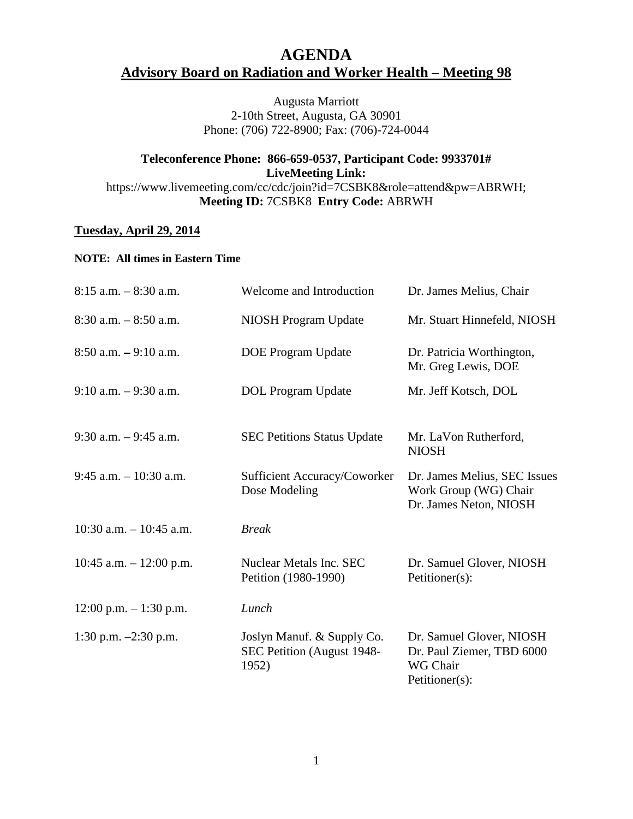## **AGENDA Advisory Board on Radiation and Worker Health – Meeting 98**

Augusta Marriott 2-10th Street, Augusta, GA 30901 Phone: (706) 722-8900; Fax: (706)-724-0044

## **Teleconference Phone: 866-659-0537, Participant Code: 9933701# LiveMeeting Link:** https://www.livemeeting.com/cc/cdc/join?id=7CSBK8&role=attend&pw=ABRWH;

**Meeting ID:** 7CSBK8 **Entry Code:** ABRWH

## **Tuesday, April 29, 2014**

## **NOTE: All times in Eastern Time**

| $8:15$ a.m. $-8:30$ a.m.   | Welcome and Introduction                                          | Dr. James Melius, Chair                                                             |
|----------------------------|-------------------------------------------------------------------|-------------------------------------------------------------------------------------|
| $8:30$ a.m. $-8:50$ a.m.   | NIOSH Program Update                                              | Mr. Stuart Hinnefeld, NIOSH                                                         |
| $8:50$ a.m. $-9:10$ a.m.   | <b>DOE Program Update</b>                                         | Dr. Patricia Worthington,<br>Mr. Greg Lewis, DOE                                    |
| $9:10$ a.m. $-9:30$ a.m.   | <b>DOL</b> Program Update                                         | Mr. Jeff Kotsch, DOL                                                                |
| $9:30$ a.m. $-9:45$ a.m.   | <b>SEC Petitions Status Update</b>                                | Mr. LaVon Rutherford,<br><b>NIOSH</b>                                               |
| $9:45$ a.m. $-10:30$ a.m.  | Sufficient Accuracy/Coworker<br>Dose Modeling                     | Dr. James Melius, SEC Issues<br>Work Group (WG) Chair<br>Dr. James Neton, NIOSH     |
| $10:30$ a.m. $-10:45$ a.m. | <b>Break</b>                                                      |                                                                                     |
| 10:45 a.m. $- 12:00$ p.m.  | Nuclear Metals Inc. SEC<br>Petition (1980-1990)                   | Dr. Samuel Glover, NIOSH<br>Petitioner(s):                                          |
| $12:00$ p.m. $-1:30$ p.m.  | Lunch                                                             |                                                                                     |
| 1:30 p.m. $-2:30$ p.m.     | Joslyn Manuf. & Supply Co.<br>SEC Petition (August 1948-<br>1952) | Dr. Samuel Glover, NIOSH<br>Dr. Paul Ziemer, TBD 6000<br>WG Chair<br>Petitioner(s): |